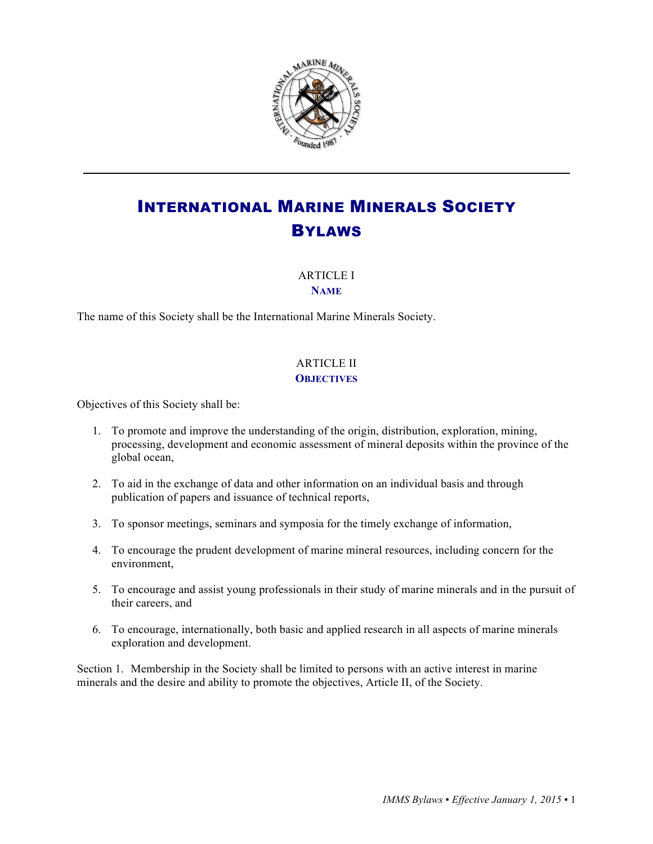

# INTERNATIONAL MARINE MINERALS SOCIETY BYLAWS

### ARTICLE I **NAME**

The name of this Society shall be the International Marine Minerals Society.

## ARTICLE II **OBJECTIVES**

Objectives of this Society shall be:

- 1. To promote and improve the understanding of the origin, distribution, exploration, mining, processing, development and economic assessment of mineral deposits within the province of the global ocean,
- 2. To aid in the exchange of data and other information on an individual basis and through publication of papers and issuance of technical reports,
- 3. To sponsor meetings, seminars and symposia for the timely exchange of information,
- 4. To encourage the prudent development of marine mineral resources, including concern for the environment,
- 5. To encourage and assist young professionals in their study of marine minerals and in the pursuit of their careers, and
- 6. To encourage, internationally, both basic and applied research in all aspects of marine minerals exploration and development.

Section 1. Membership in the Society shall be limited to persons with an active interest in marine minerals and the desire and ability to promote the objectives, Article II, of the Society.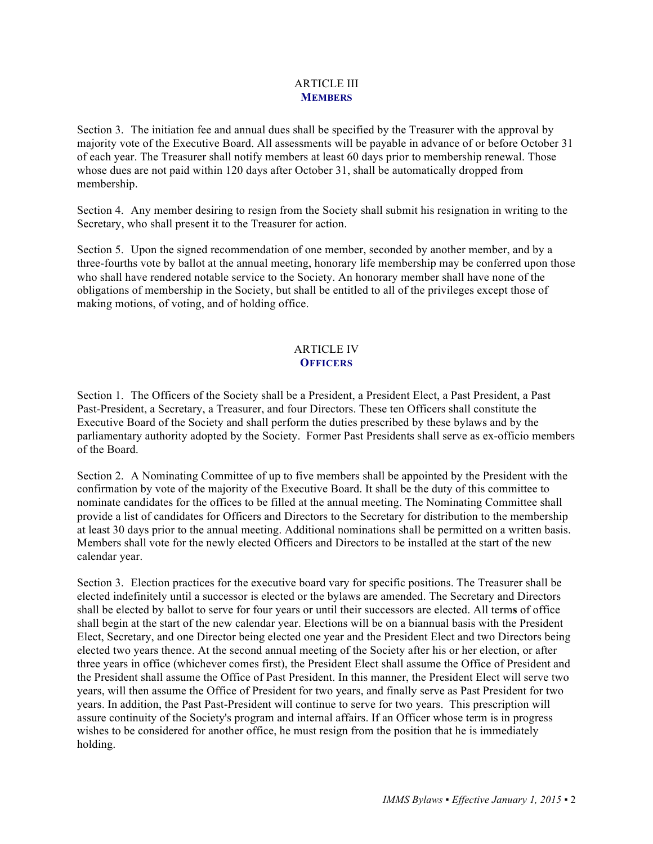#### ARTICLE III **MEMBERS**

Section 3. The initiation fee and annual dues shall be specified by the Treasurer with the approval by majority vote of the Executive Board. All assessments will be payable in advance of or before October 31 of each year. The Treasurer shall notify members at least 60 days prior to membership renewal. Those whose dues are not paid within 120 days after October 31, shall be automatically dropped from membership.

Section 4. Any member desiring to resign from the Society shall submit his resignation in writing to the Secretary, who shall present it to the Treasurer for action.

Section 5. Upon the signed recommendation of one member, seconded by another member, and by a three-fourths vote by ballot at the annual meeting, honorary life membership may be conferred upon those who shall have rendered notable service to the Society. An honorary member shall have none of the obligations of membership in the Society, but shall be entitled to all of the privileges except those of making motions, of voting, and of holding office.

#### ARTICLE IV **OFFICERS**

Section 1. The Officers of the Society shall be a President, a President Elect, a Past President, a Past Past-President, a Secretary, a Treasurer, and four Directors. These ten Officers shall constitute the Executive Board of the Society and shall perform the duties prescribed by these bylaws and by the parliamentary authority adopted by the Society. Former Past Presidents shall serve as ex-officio members of the Board.

Section 2. A Nominating Committee of up to five members shall be appointed by the President with the confirmation by vote of the majority of the Executive Board. It shall be the duty of this committee to nominate candidates for the offices to be filled at the annual meeting. The Nominating Committee shall provide a list of candidates for Officers and Directors to the Secretary for distribution to the membership at least 30 days prior to the annual meeting. Additional nominations shall be permitted on a written basis. Members shall vote for the newly elected Officers and Directors to be installed at the start of the new calendar year.

Section 3. Election practices for the executive board vary for specific positions. The Treasurer shall be elected indefinitely until a successor is elected or the bylaws are amended. The Secretary and Directors shall be elected by ballot to serve for four years or until their successors are elected. All term**s** of office shall begin at the start of the new calendar year. Elections will be on a biannual basis with the President Elect, Secretary, and one Director being elected one year and the President Elect and two Directors being elected two years thence. At the second annual meeting of the Society after his or her election, or after three years in office (whichever comes first), the President Elect shall assume the Office of President and the President shall assume the Office of Past President. In this manner, the President Elect will serve two years, will then assume the Office of President for two years, and finally serve as Past President for two years. In addition, the Past Past-President will continue to serve for two years. This prescription will assure continuity of the Society's program and internal affairs. If an Officer whose term is in progress wishes to be considered for another office, he must resign from the position that he is immediately holding.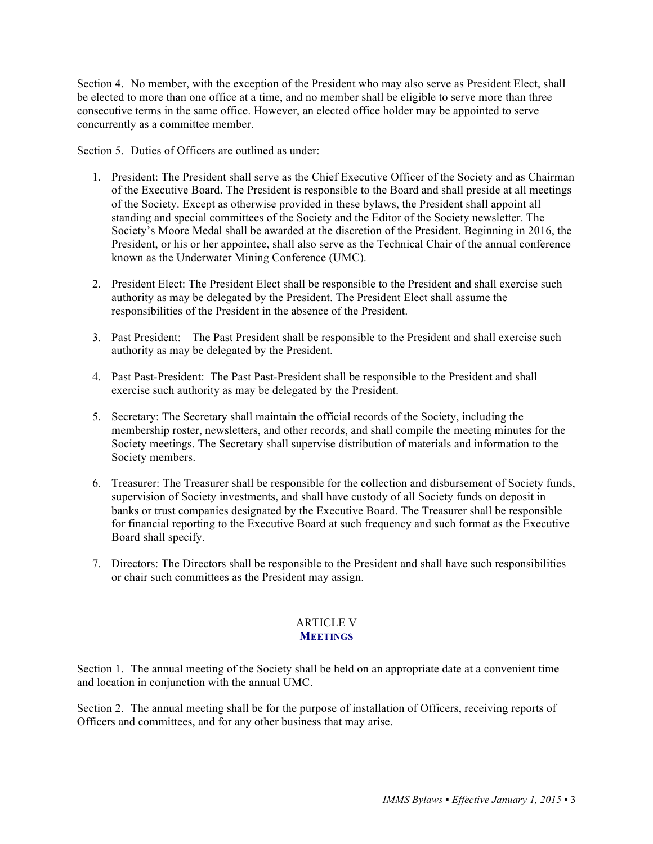Section 4. No member, with the exception of the President who may also serve as President Elect, shall be elected to more than one office at a time, and no member shall be eligible to serve more than three consecutive terms in the same office. However, an elected office holder may be appointed to serve concurrently as a committee member.

Section 5. Duties of Officers are outlined as under:

- 1. President: The President shall serve as the Chief Executive Officer of the Society and as Chairman of the Executive Board. The President is responsible to the Board and shall preside at all meetings of the Society. Except as otherwise provided in these bylaws, the President shall appoint all standing and special committees of the Society and the Editor of the Society newsletter. The Society's Moore Medal shall be awarded at the discretion of the President. Beginning in 2016, the President, or his or her appointee, shall also serve as the Technical Chair of the annual conference known as the Underwater Mining Conference (UMC).
- 2. President Elect: The President Elect shall be responsible to the President and shall exercise such authority as may be delegated by the President. The President Elect shall assume the responsibilities of the President in the absence of the President.
- 3. Past President: The Past President shall be responsible to the President and shall exercise such authority as may be delegated by the President.
- 4. Past Past-President: The Past Past-President shall be responsible to the President and shall exercise such authority as may be delegated by the President.
- 5. Secretary: The Secretary shall maintain the official records of the Society, including the membership roster, newsletters, and other records, and shall compile the meeting minutes for the Society meetings. The Secretary shall supervise distribution of materials and information to the Society members.
- 6. Treasurer: The Treasurer shall be responsible for the collection and disbursement of Society funds, supervision of Society investments, and shall have custody of all Society funds on deposit in banks or trust companies designated by the Executive Board. The Treasurer shall be responsible for financial reporting to the Executive Board at such frequency and such format as the Executive Board shall specify.
- 7. Directors: The Directors shall be responsible to the President and shall have such responsibilities or chair such committees as the President may assign.

#### ARTICLE V **MEETINGS**

Section 1. The annual meeting of the Society shall be held on an appropriate date at a convenient time and location in conjunction with the annual UMC.

Section 2. The annual meeting shall be for the purpose of installation of Officers, receiving reports of Officers and committees, and for any other business that may arise.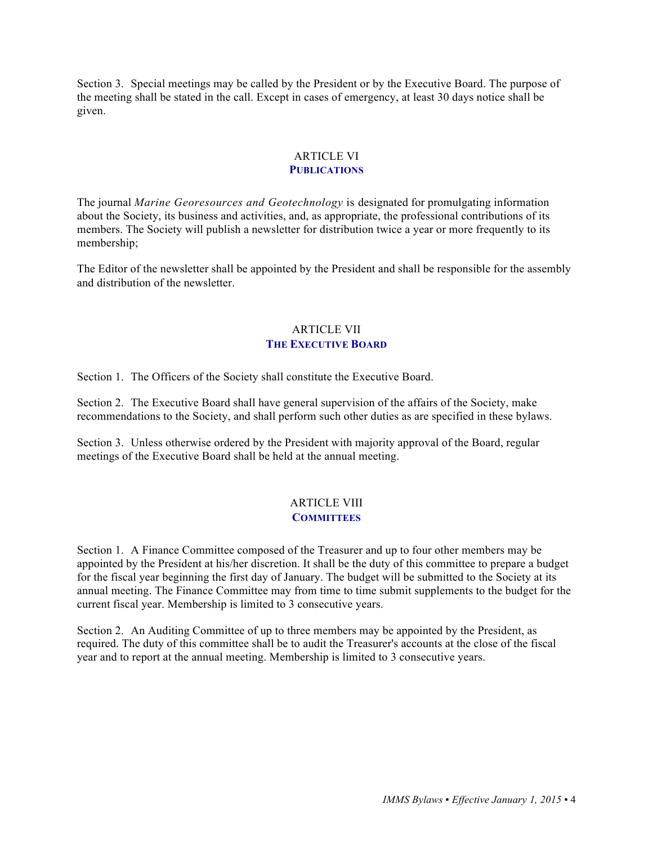Section 3. Special meetings may be called by the President or by the Executive Board. The purpose of the meeting shall be stated in the call. Except in cases of emergency, at least 30 days notice shall be given.

#### ARTICLE VI **PUBLICATIONS**

The journal *Marine Georesources and Geotechnology* is designated for promulgating information about the Society, its business and activities, and, as appropriate, the professional contributions of its members. The Society will publish a newsletter for distribution twice a year or more frequently to its membership;

The Editor of the newsletter shall be appointed by the President and shall be responsible for the assembly and distribution of the newsletter.

#### ARTICLE VII **THE EXECUTIVE BOARD**

Section 1. The Officers of the Society shall constitute the Executive Board.

Section 2. The Executive Board shall have general supervision of the affairs of the Society, make recommendations to the Society, and shall perform such other duties as are specified in these bylaws.

Section 3. Unless otherwise ordered by the President with majority approval of the Board, regular meetings of the Executive Board shall be held at the annual meeting.

#### ARTICLE VIII **COMMITTEES**

Section 1. A Finance Committee composed of the Treasurer and up to four other members may be appointed by the President at his/her discretion. It shall be the duty of this committee to prepare a budget for the fiscal year beginning the first day of January. The budget will be submitted to the Society at its annual meeting. The Finance Committee may from time to time submit supplements to the budget for the current fiscal year. Membership is limited to 3 consecutive years.

Section 2. An Auditing Committee of up to three members may be appointed by the President, as required. The duty of this committee shall be to audit the Treasurer's accounts at the close of the fiscal year and to report at the annual meeting. Membership is limited to 3 consecutive years.